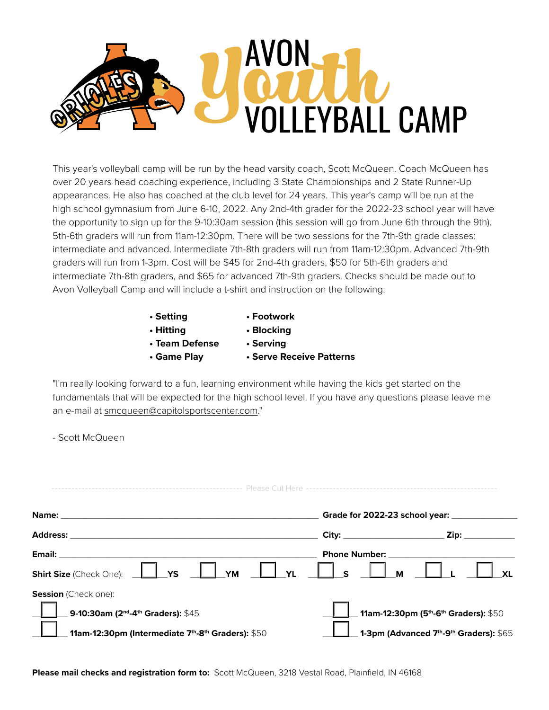

This year's volleyball camp will be run by the head varsity coach, Scott McQueen. Coach McQueen has over 20 years head coaching experience, including 3 State Championships and 2 State Runner-Up appearances. He also has coached at the club level for 24 years. This year's camp will be run at the high school gymnasium from June 6-10, 2022. Any 2nd-4th grader for the 2022-23 school year will have the opportunity to sign up for the 9-10:30am session (this session will go from June 6th through the 9th). 5th-6th graders will run from 11am-12:30pm. There will be two sessions for the 7th-9th grade classes: intermediate and advanced. Intermediate 7th-8th graders will run from 11am-12:30pm. Advanced 7th-9th graders will run from 1-3pm. Cost will be \$45 for 2nd-4th graders, \$50 for 5th-6th graders and intermediate 7th-8th graders, and \$65 for advanced 7th-9th graders. Checks should be made out to Avon Volleyball Camp and will include a t-shirt and instruction on the following:

- **Setting Footwork**
- **Hitting Blocking**
- **Team Defense Serving**
- 
- 
- **Game Play Serve Receive Patterns**

"I'm really looking forward to a fun, learning environment while having the kids get started on the fundamentals that will be expected for the high school level. If you have any questions please leave me an e-mail at smcqueen@capitolsportscenter.com."

- Scott McQueen

| Name:                                                                                                                                          |                                                                                                         |              |
|------------------------------------------------------------------------------------------------------------------------------------------------|---------------------------------------------------------------------------------------------------------|--------------|
| <b>Address:</b>                                                                                                                                | Zip:<br>City:                                                                                           |              |
| Email:<br><b>Shirt Size</b> (Check One): __ <b>__</b><br>$\Box$ YM $\Box$ YL<br>YS                                                             | <b>Phone Number:</b><br>$^{\prime}$ s<br>M                                                              | $\mathbf{X}$ |
| <b>Session</b> (Check one):<br>9-10:30am (2 <sup>nd</sup> -4 <sup>th</sup> Graders): \$45<br>11am-12:30pm (Intermediate 7th-8th Graders): \$50 | 11am-12:30pm (5 <sup>th</sup> -6 <sup>th</sup> Graders): \$50<br>1-3pm (Advanced 7th-9th Graders): \$65 |              |